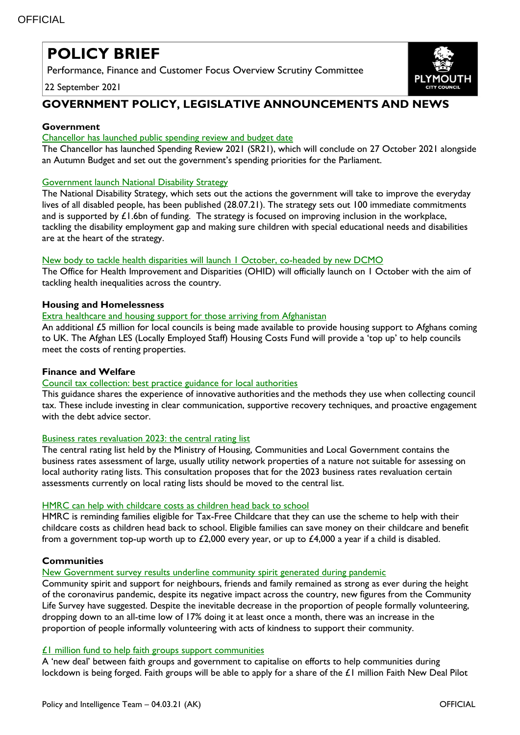# **POLICY BRIEF**

Performance, Finance and Customer Focus Overview Scrutiny Committee

22 September 2021



# **GOVERNMENT POLICY, LEGISLATIVE ANNOUNCEMENTS AND NEWS**

## **Government**

#### Chancellor has launched [public spending review and budget date](https://www.gov.uk/government/news/chancellor-launches-vision-for-future-public-spending)

The Chancellor has launched Spending Review 2021 (SR21), which will conclude on 27 October 2021 alongside an Autumn Budget and set out the government's spending priorities for the Parliament.

#### **[Government launch National Disability Strategy](https://www.gov.uk/government/publications/national-disability-strategy)**

The National Disability Strategy, which sets out the actions the government will take to improve the everyday lives of all disabled people, has been published (28.07.21). The strategy sets out 100 immediate commitments and is supported by £1.6bn of funding. The strategy is focused on improving inclusion in the workplace, tackling the disability employment gap and making sure children with special educational needs and disabilities are at the heart of the strategy.

#### New body to tackle health disparities will launch I October, co-headed by new DCMO

The Office for Health Improvement and Disparities (OHID) will officially launch on 1 October with the aim of tackling health inequalities across the country.

#### **Housing and Homelessness**

#### [Extra healthcare and housing support for those arriving from Afghanistan](https://www.gov.uk/government/news/extra-healthcare-and-housing-support-for-those-arriving-from-afghanistan?utm_medium=email&utm_campaign=govuk-notifications&utm_source=13aa7228-9cf4-4e1e-a2df-05cc2bc9eef8&utm_content=immediately)

An additional £5 million for local councils is being made available to provide housing support to Afghans coming to UK. The Afghan LES (Locally Employed Staff) Housing Costs Fund will provide a 'top up' to help councils meet the costs of renting properties.

#### **Finance and Welfare**

## [Council tax collection: best practice guidance for local authorities](https://www.gov.uk/government/publications/council-tax-collection-best-practice-guidance-for-local-authorities?utm_medium=email&utm_campaign=govuk-notifications&utm_source=1638cc3f-f9fb-4a92-b015-6e59843207b9&utm_content=immediately)

This guidance shares the experience of innovative authorities and the methods they use when collecting council tax. These include investing in clear communication, supportive recovery techniques, and proactive engagement with the debt advice sector.

## [Business rates revaluation 2023: the central rating list](https://www.gov.uk/government/consultations/business-rates-revaluation-2023-the-central-rating-list?utm_medium=email&utm_campaign=govuk-notifications&utm_source=f215effb-ad77-4fb1-bfad-0e22d9014787&utm_content=immediately)

The central rating list held by the Ministry of Housing, Communities and Local Government contains the business rates assessment of large, usually utility network properties of a nature not suitable for assessing on local authority rating lists. This consultation proposes that for the 2023 business rates revaluation certain assessments currently on local rating lists should be moved to the central list.

## [HMRC can help with childcare costs as children head back to school](https://www.gov.uk/government/news/hmrc-can-help-with-childcare-costs-as-children-head-back-to-school)

HMRC is reminding families eligible for Tax-Free Childcare that they can use the scheme to help with their childcare costs as children head back to school. Eligible families can save money on their childcare and benefit from a government top-up worth up to £2,000 every year, or up to £4,000 a year if a child is disabled.

## **Communities**

## [New Government survey results underline community spirit generated during pandemic](https://www.gov.uk/government/news/new-government-survey-results-underline-community-spirit-generated-during-pandemic)

Community spirit and support for neighbours, friends and family remained as strong as ever during the height of the coronavirus pandemic, despite its negative impact across the country, new figures from the Community Life Survey have suggested. Despite the inevitable decrease in the proportion of people formally volunteering, dropping down to an all-time low of 17% doing it at least once a month, there was an increase in the proportion of people informally volunteering with acts of kindness to support their community.

#### [£1 million fund to help faith groups support communities](https://www.gov.uk/government/news/new-1-million-fund-to-help-faith-groups-support-communities?utm_medium=email&utm_campaign=govuk-notifications&utm_source=152c7b46-bf23-47f6-b364-515d4a029c77&utm_content=immediately)

A 'new deal' between faith groups and government to capitalise on efforts to help communities during lockdown is being forged. Faith groups will be able to apply for a share of the £1 million Faith New Deal Pilot